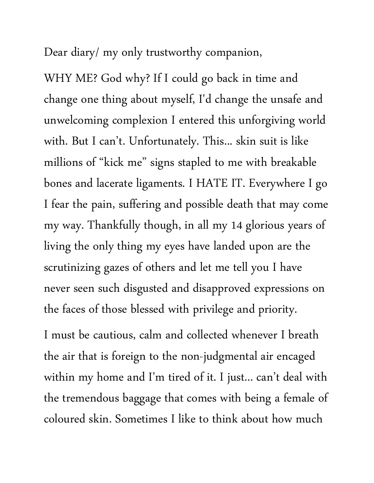Dear diary/ my only trustworthy companion,

WHY ME? God why? If I could go back in time and change one thing about myself, I'd change the unsafe and unwelcoming complexion I entered this unforgiving world with. But I can't. Unfortunately. This... skin suit is like millions of "kick me" signs stapled to me with breakable bones and lacerate ligaments. I HATE IT. Everywhere I go I fear the pain, suffering and possible death that may come my way. Thankfully though, in all my 14 glorious years of living the only thing my eyes have landed upon are the scrutinizing gazes of others and let me tell you I have never seen such disgusted and disapproved expressions on the faces of those blessed with privilege and priority.

I must be cautious, calm and collected whenever I breath the air that is foreign to the non-judgmental air encaged within my home and I'm tired of it. I just... can't deal with the tremendous baggage that comes with being a female of coloured skin. Sometimes I like to think about how much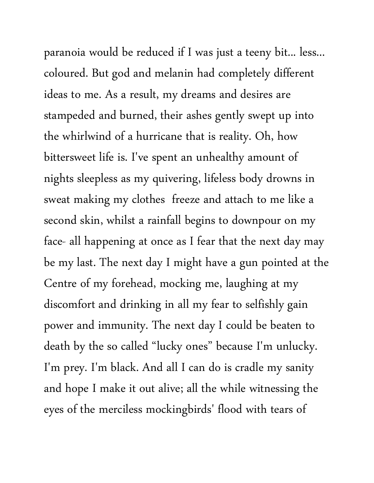paranoia would be reduced if I was just a teeny bit... less... coloured. But god and melanin had completely different ideas to me. As a result, my dreams and desires are stampeded and burned, their ashes gently swept up into the whirlwind of a hurricane that is reality. Oh, how bittersweet life is. I've spent an unhealthy amount of nights sleepless as my quivering, lifeless body drowns in sweat making my clothes freeze and attach to me like a second skin, whilst a rainfall begins to downpour on my face- all happening at once as I fear that the next day may be my last. The next day I might have a gun pointed at the Centre of my forehead, mocking me, laughing at my discomfort and drinking in all my fear to selfishly gain power and immunity. The next day I could be beaten to death by the so called "lucky ones" because I'm unlucky. I'm prey. I'm black. And all I can do is cradle my sanity and hope I make it out alive; all the while witnessing the eyes of the merciless mockingbirds' flood with tears of